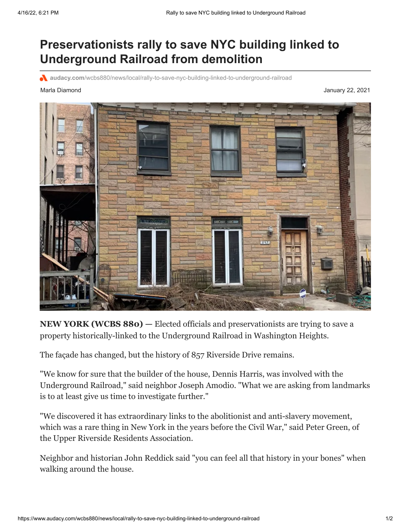## **Preservationists rally to save NYC building linked to Underground Railroad from demolition**

**audacy.com**[/wcbs880/news/local/rally-to-save-nyc-building-linked-to-underground-railroad](https://www.audacy.com/wcbs880/news/local/rally-to-save-nyc-building-linked-to-underground-railroad)

Marla Diamond January 22, 2021



**NEW YORK (WCBS 880) —** Elected officials and preservationists are trying to save a property historically-linked to the Underground Railroad in Washington Heights.

The façade has changed, but the history of 857 Riverside Drive remains.

"We know for sure that the builder of the house, Dennis Harris, was involved with the Underground Railroad," said neighbor Joseph Amodio. "What we are asking from landmarks is to at least give us time to investigate further."

"We discovered it has extraordinary links to the abolitionist and anti-slavery movement, which was a rare thing in New York in the years before the Civil War," said Peter Green, of the Upper Riverside Residents Association.

Neighbor and historian John Reddick said "you can feel all that history in your bones" when walking around the house.